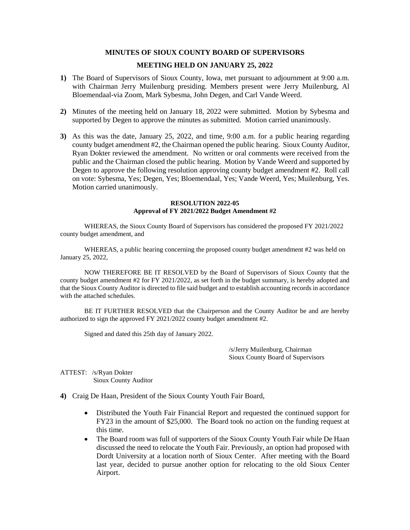## **MINUTES OF SIOUX COUNTY BOARD OF SUPERVISORS**

## **MEETING HELD ON JANUARY 25, 2022**

- **1)** The Board of Supervisors of Sioux County, Iowa, met pursuant to adjournment at 9:00 a.m. with Chairman Jerry Muilenburg presiding. Members present were Jerry Muilenburg, Al Bloemendaal-via Zoom, Mark Sybesma, John Degen, and Carl Vande Weerd.
- **2)** Minutes of the meeting held on January 18, 2022 were submitted. Motion by Sybesma and supported by Degen to approve the minutes as submitted. Motion carried unanimously.
- **3)** As this was the date, January 25, 2022, and time, 9:00 a.m. for a public hearing regarding county budget amendment #2, the Chairman opened the public hearing. Sioux County Auditor, Ryan Dokter reviewed the amendment. No written or oral comments were received from the public and the Chairman closed the public hearing. Motion by Vande Weerd and supported by Degen to approve the following resolution approving county budget amendment #2. Roll call on vote: Sybesma, Yes; Degen, Yes; Bloemendaal, Yes; Vande Weerd, Yes; Muilenburg, Yes. Motion carried unanimously.

## **RESOLUTION 2022-05 Approval of FY 2021/2022 Budget Amendment #2**

WHEREAS, the Sioux County Board of Supervisors has considered the proposed FY 2021/2022 county budget amendment, and

WHEREAS, a public hearing concerning the proposed county budget amendment #2 was held on January 25, 2022,

NOW THEREFORE BE IT RESOLVED by the Board of Supervisors of Sioux County that the county budget amendment #2 for FY 2021/2022, as set forth in the budget summary, is hereby adopted and that the Sioux County Auditor is directed to file said budget and to establish accounting records in accordance with the attached schedules.

BE IT FURTHER RESOLVED that the Chairperson and the County Auditor be and are hereby authorized to sign the approved FY 2021/2022 county budget amendment #2.

Signed and dated this 25th day of January 2022.

/s/Jerry Muilenburg, Chairman Sioux County Board of Supervisors

ATTEST: /s/Ryan Dokter Sioux County Auditor

- **4)** Craig De Haan, President of the Sioux County Youth Fair Board,
	- Distributed the Youth Fair Financial Report and requested the continued support for FY23 in the amount of \$25,000. The Board took no action on the funding request at this time.
	- The Board room was full of supporters of the Sioux County Youth Fair while De Haan discussed the need to relocate the Youth Fair. Previously, an option had proposed with Dordt University at a location north of Sioux Center. After meeting with the Board last year, decided to pursue another option for relocating to the old Sioux Center Airport.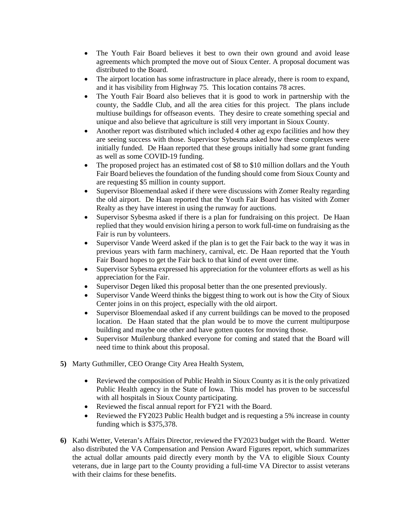- The Youth Fair Board believes it best to own their own ground and avoid lease agreements which prompted the move out of Sioux Center. A proposal document was distributed to the Board.
- The airport location has some infrastructure in place already, there is room to expand, and it has visibility from Highway 75. This location contains 78 acres.
- The Youth Fair Board also believes that it is good to work in partnership with the county, the Saddle Club, and all the area cities for this project. The plans include multiuse buildings for offseason events. They desire to create something special and unique and also believe that agriculture is still very important in Sioux County.
- Another report was distributed which included 4 other ag expo facilities and how they are seeing success with those. Supervisor Sybesma asked how these complexes were initially funded. De Haan reported that these groups initially had some grant funding as well as some COVID-19 funding.
- The proposed project has an estimated cost of \$8 to \$10 million dollars and the Youth Fair Board believes the foundation of the funding should come from Sioux County and are requesting \$5 million in county support.
- Supervisor Bloemendaal asked if there were discussions with Zomer Realty regarding the old airport. De Haan reported that the Youth Fair Board has visited with Zomer Realty as they have interest in using the runway for auctions.
- Supervisor Sybesma asked if there is a plan for fundraising on this project. De Haan replied that they would envision hiring a person to work full-time on fundraising as the Fair is run by volunteers.
- Supervisor Vande Weerd asked if the plan is to get the Fair back to the way it was in previous years with farm machinery, carnival, etc. De Haan reported that the Youth Fair Board hopes to get the Fair back to that kind of event over time.
- Supervisor Sybesma expressed his appreciation for the volunteer efforts as well as his appreciation for the Fair.
- Supervisor Degen liked this proposal better than the one presented previously.
- Supervisor Vande Weerd thinks the biggest thing to work out is how the City of Sioux Center joins in on this project, especially with the old airport.
- Supervisor Bloemendaal asked if any current buildings can be moved to the proposed location. De Haan stated that the plan would be to move the current multipurpose building and maybe one other and have gotten quotes for moving those.
- Supervisor Muilenburg thanked everyone for coming and stated that the Board will need time to think about this proposal.
- **5)** Marty Guthmiller, CEO Orange City Area Health System,
	- Reviewed the composition of Public Health in Sioux County as it is the only privatized Public Health agency in the State of Iowa. This model has proven to be successful with all hospitals in Sioux County participating.
	- Reviewed the fiscal annual report for FY21 with the Board.
	- Reviewed the FY2023 Public Health budget and is requesting a 5% increase in county funding which is \$375,378.
- **6)** Kathi Wetter, Veteran's Affairs Director, reviewed the FY2023 budget with the Board. Wetter also distributed the VA Compensation and Pension Award Figures report, which summarizes the actual dollar amounts paid directly every month by the VA to eligible Sioux County veterans, due in large part to the County providing a full-time VA Director to assist veterans with their claims for these benefits.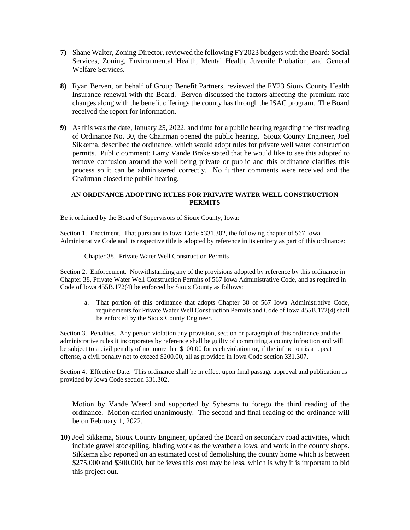- **7)** Shane Walter, Zoning Director, reviewed the following FY2023 budgets with the Board: Social Services, Zoning, Environmental Health, Mental Health, Juvenile Probation, and General Welfare Services.
- **8)** Ryan Berven, on behalf of Group Benefit Partners, reviewed the FY23 Sioux County Health Insurance renewal with the Board. Berven discussed the factors affecting the premium rate changes along with the benefit offerings the county has through the ISAC program. The Board received the report for information.
- **9)** As this was the date, January 25, 2022, and time for a public hearing regarding the first reading of Ordinance No. 30, the Chairman opened the public hearing. Sioux County Engineer, Joel Sikkema, described the ordinance, which would adopt rules for private well water construction permits. Public comment: Larry Vande Brake stated that he would like to see this adopted to remove confusion around the well being private or public and this ordinance clarifies this process so it can be administered correctly. No further comments were received and the Chairman closed the public hearing.

## **AN ORDINANCE ADOPTING RULES FOR PRIVATE WATER WELL CONSTRUCTION PERMITS**

Be it ordained by the Board of Supervisors of Sioux County, Iowa:

Section 1. Enactment. That pursuant to Iowa Code §331.302, the following chapter of 567 Iowa Administrative Code and its respective title is adopted by reference in its entirety as part of this ordinance:

Chapter 38, Private Water Well Construction Permits

Section 2. Enforcement. Notwithstanding any of the provisions adopted by reference by this ordinance in Chapter 38, Private Water Well Construction Permits of 567 Iowa Administrative Code, and as required in Code of Iowa 455B.172(4) be enforced by Sioux County as follows:

a. That portion of this ordinance that adopts Chapter 38 of 567 Iowa Administrative Code, requirements for Private Water Well Construction Permits and Code of Iowa 455B.172(4) shall be enforced by the Sioux County Engineer.

Section 3. Penalties. Any person violation any provision, section or paragraph of this ordinance and the administrative rules it incorporates by reference shall be guilty of committing a county infraction and will be subject to a civil penalty of not more that \$100.00 for each violation or, if the infraction is a repeat offense, a civil penalty not to exceed \$200.00, all as provided in Iowa Code section 331.307.

Section 4. Effective Date. This ordinance shall be in effect upon final passage approval and publication as provided by Iowa Code section 331.302.

Motion by Vande Weerd and supported by Sybesma to forego the third reading of the ordinance. Motion carried unanimously. The second and final reading of the ordinance will be on February 1, 2022.

**10)** Joel Sikkema, Sioux County Engineer, updated the Board on secondary road activities, which include gravel stockpiling, blading work as the weather allows, and work in the county shops. Sikkema also reported on an estimated cost of demolishing the county home which is between \$275,000 and \$300,000, but believes this cost may be less, which is why it is important to bid this project out.